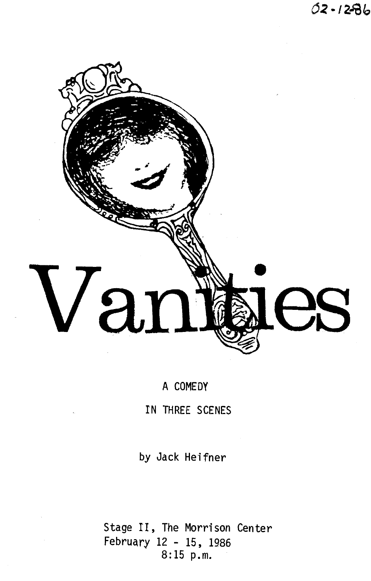

A COMEDY

IN THREE SCENES

by Jack Heifner

Stage II, The Morrison Center February 12 - 15, 1986 8:15 p.m.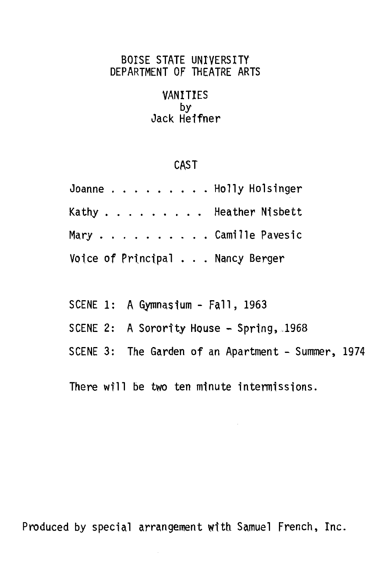### BOISE STATE UNIVERSITY DEPARTMENT OF THEATRE ARTS

# VANITIES<br>by Jack Heifner

# CAST

| Joanne Holly Holsinger          |  |
|---------------------------------|--|
| Kathy Heather Nisbett           |  |
| Mary Camille Pavesic            |  |
| Voice of Principal Nancy Berger |  |

- SCENE 1: A Gymnasium Fall, 1963
- SCENE 2: A Sorority House Spring, 1968
- SCENE 3: The Garden of an Apartment Summer, 1974

There will be two ten minute intermissions.

Produced by special arrangement with Samuel French, Inc.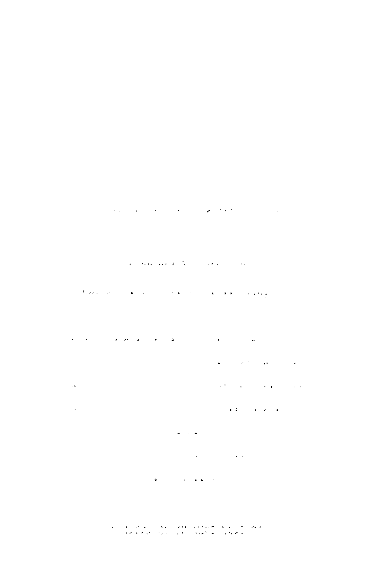$\mathcal{L}_{\mathcal{A}}$  is a simple point of the set of the set of the set of the set of the set of the set of the set of the set of the set of the set of the set of the set of the set of the set of the set of the set of the set o

. The constraints of the constraints of the constraints of the constraints of the constraints of the constraints of the constraints of the constraints of the constraints of the constraints of the constraints of the constr

## المتقرب الأقاعات المراقب والمتحدث المتعاقبات المتعلقين

 $\mathcal{L}_{\mathcal{A}}$  and the contribution of the contribution of the contribution of the contribution of  $\mathcal{A}$ 

 $\mathcal{A}^{\mathcal{A}}_{\mathcal{A}}$  , where  $\mathcal{A}^{\mathcal{A}}_{\mathcal{A}}$  , and  $\mathcal{A}^{\mathcal{A}}_{\mathcal{A}}$ 

 $\mathcal{L}^{\mathcal{L}}(\mathcal{L}^{\mathcal{L}})$  and  $\mathcal{L}^{\mathcal{L}}(\mathcal{L}^{\mathcal{L}})$  and  $\mathcal{L}^{\mathcal{L}}(\mathcal{L}^{\mathcal{L}})$  and  $\mathcal{L}^{\mathcal{L}}(\mathcal{L}^{\mathcal{L}})$  $\label{eq:Ricci} \mathcal{L}(\mathbf{X}) = \mathcal{L}(\mathbf{X}) \mathcal{L}(\mathbf{X}) = \mathcal{L}(\mathbf{X})$ 

 $\mathcal{L}^{\text{max}}_{\text{max}}$  and  $\mathcal{L}^{\text{max}}_{\text{max}}$  $\label{eq:2.1} \mathcal{L}_{\mathcal{A}}(\mathcal{A})=\mathcal{L}_{\mathcal{A}}(\mathcal{A})\mathcal{L}_{\mathcal{A}}(\mathcal{A})\mathcal{A}(\mathcal{A})\mathcal{A}(\mathcal{A})\mathcal{A}(\mathcal{A})\mathcal{A}(\mathcal{A})\mathcal{A}(\mathcal{A})\mathcal{A}(\mathcal{A})\mathcal{A}(\mathcal{A})\mathcal{A}(\mathcal{A})\mathcal{A}(\mathcal{A})\mathcal{A}(\mathcal{A})\mathcal{A}(\mathcal{A})\mathcal{A}(\mathcal{A})\mathcal{A}(\mathcal{A})\$ 

 $\label{eq:2.1} \mathcal{L}^{\mathcal{A}}(\mathcal{A})=\mathcal{L}^{\mathcal{A}}(\mathcal{A})\mathcal{A}^{\mathcal{A}}(\mathcal{A})=\mathcal{L}^{\mathcal{A}}(\mathcal{A})\mathcal{A}^{\mathcal{A}}(\mathcal{A})$  $\label{eq:1.1} \frac{1}{2} \left( \frac{1}{2} \left( \frac{1}{2} \right) \left( \frac{1}{2} \right) \right) \left( \frac{1}{2} \left( \frac{1}{2} \right) \right) \left( \frac{1}{2} \left( \frac{1}{2} \right) \right) \left( \frac{1}{2} \left( \frac{1}{2} \right) \right) \left( \frac{1}{2} \right) \left( \frac{1}{2} \right) \left( \frac{1}{2} \right) \left( \frac{1}{2} \right) \left( \frac{1}{2} \right) \left( \frac{1}{2} \right) \left( \frac{1}{2$ 

 $\mathcal{L}(\mathbf{a})$  and  $\mathcal{L}(\mathbf{a})$  and  $\mathcal{L}(\mathbf{a})$  and

 $\label{eq:2} \mathbf{v}_\mathbf{u}(\mathbf{u},\mathbf{v}) = \mathbf{v}_\mathbf{u}(\mathbf{v},\mathbf{v}) = \mathbf{v}_\mathbf{u}(\mathbf{v},\mathbf{v}) = \mathbf{v}_\mathbf{u}(\mathbf{v},\mathbf{v}) = \mathbf{v}_\mathbf{u}(\mathbf{v},\mathbf{v}) = \mathbf{v}_\mathbf{u}(\mathbf{v},\mathbf{v}) = \mathbf{v}_\mathbf{u}(\mathbf{v},\mathbf{v}) = \mathbf{v}_\mathbf{u}(\mathbf{v},\mathbf{v}) = \mathbf{v}_\mathbf{u}(\$